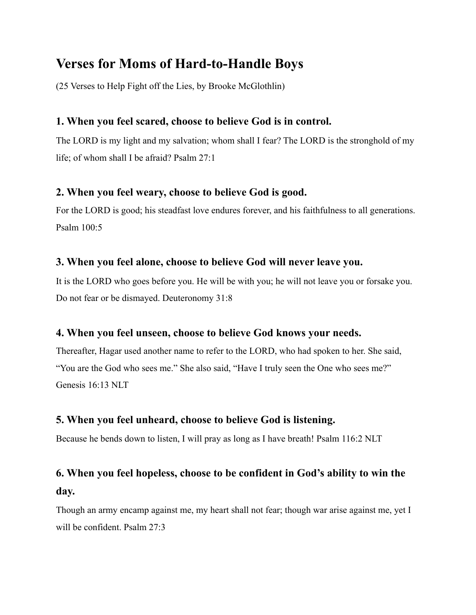# **Verses for Moms of Hard-to-Handle Boys**

(25 Verses to Help Fight off the Lies, by Brooke McGlothlin)

## **1. When you feel scared, choose to believe God is in control.**

The LORD is my light and my salvation; whom shall I fear? The LORD is the stronghold of my life; of whom shall I be afraid? Psalm 27:1

### **2. When you feel weary, choose to believe God is good.**

For the LORD is good; his steadfast love endures forever, and his faithfulness to all generations. Psalm 100:5

### **3. When you feel alone, choose to believe God will never leave you.**

It is the LORD who goes before you. He will be with you; he will not leave you or forsake you. Do not fear or be dismayed. Deuteronomy 31:8

### **4. When you feel unseen, choose to believe God knows your needs.**

Thereafter, Hagar used another name to refer to the LORD, who had spoken to her. She said, "You are the God who sees me." She also said, "Have I truly seen the One who sees me?" Genesis 16:13 NLT

### **5. When you feel unheard, choose to believe God is listening.**

Because he bends down to listen, I will pray as long as I have breath! Psalm 116:2 NLT

## **6. When you feel hopeless, choose to be confident in God's ability to win the day.**

Though an army encamp against me, my heart shall not fear; though war arise against me, yet I will be confident. Psalm 27:3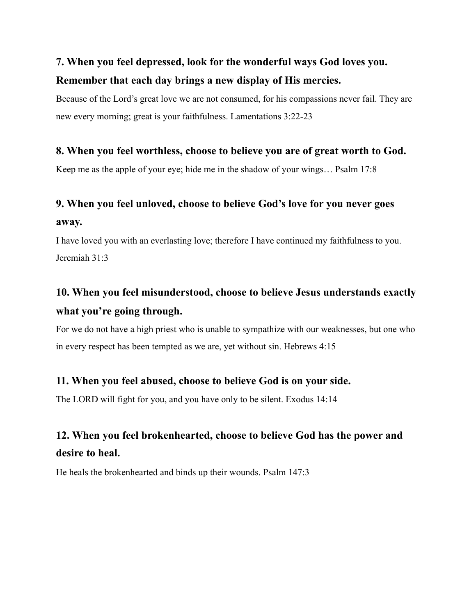# **7. When you feel depressed, look for the wonderful ways God loves you. Remember that each day brings a new display of His mercies.**

Because of the Lord's great love we are not consumed, for his compassions never fail. They are new every morning; great is your faithfulness. Lamentations 3:22-23

### **8. When you feel worthless, choose to believe you are of great worth to God.**

Keep me as the apple of your eye; hide me in the shadow of your wings… Psalm 17:8

# **9. When you feel unloved, choose to believe God's love for you never goes away.**

I have loved you with an everlasting love; therefore I have continued my faithfulness to you. Jeremiah 31:3

# **10. When you feel misunderstood, choose to believe Jesus understands exactly what you're going through.**

For we do not have a high priest who is unable to sympathize with our weaknesses, but one who in every respect has been tempted as we are, yet without sin. Hebrews 4:15

### **11. When you feel abused, choose to believe God is on your side.**

The LORD will fight for you, and you have only to be silent. Exodus 14:14

# **12. When you feel brokenhearted, choose to believe God has the power and desire to heal.**

He heals the brokenhearted and binds up their wounds. Psalm 147:3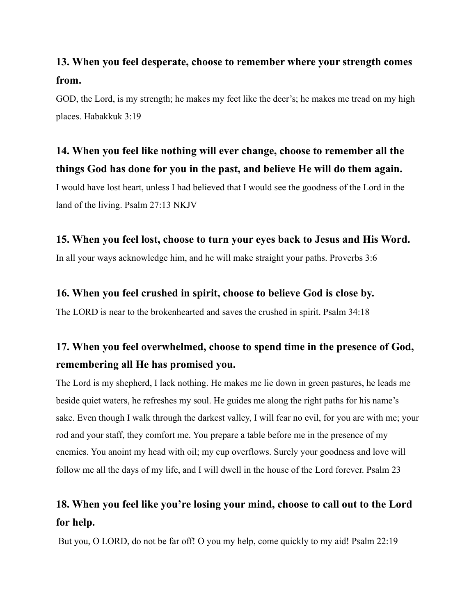## **13. When you feel desperate, choose to remember where your strength comes from.**

GOD, the Lord, is my strength; he makes my feet like the deer's; he makes me tread on my high places. Habakkuk 3:19

## **14. When you feel like nothing will ever change, choose to remember all the things God has done for you in the past, and believe He will do them again.**

I would have lost heart, unless I had believed that I would see the goodness of the Lord in the land of the living. Psalm 27:13 NKJV

#### **15. When you feel lost, choose to turn your eyes back to Jesus and His Word.**

In all your ways acknowledge him, and he will make straight your paths. Proverbs 3:6

#### **16. When you feel crushed in spirit, choose to believe God is close by.**

The LORD is near to the brokenhearted and saves the crushed in spirit. Psalm 34:18

## **17. When you feel overwhelmed, choose to spend time in the presence of God, remembering all He has promised you.**

The Lord is my shepherd, I lack nothing. He makes me lie down in green pastures, he leads me beside quiet waters, he refreshes my soul. He guides me along the right paths for his name's sake. Even though I walk through the darkest valley, I will fear no evil, for you are with me; your rod and your staff, they comfort me. You prepare a table before me in the presence of my enemies. You anoint my head with oil; my cup overflows. Surely your goodness and love will follow me all the days of my life, and I will dwell in the house of the Lord forever. Psalm 23

## **18. When you feel like you're losing your mind, choose to call out to the Lord for help.**

But you, O LORD, do not be far off! O you my help, come quickly to my aid! Psalm 22:19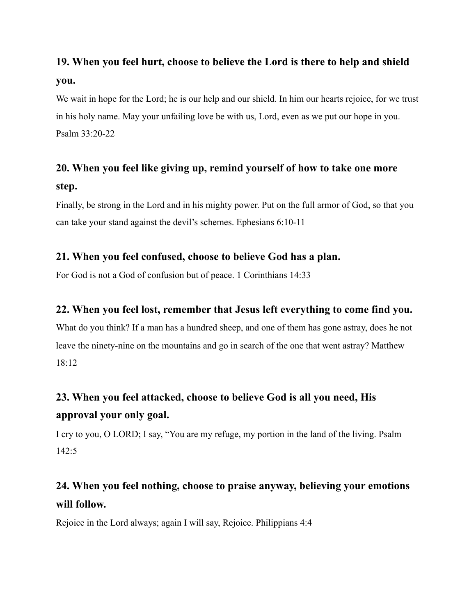# **19. When you feel hurt, choose to believe the Lord is there to help and shield you.**

We wait in hope for the Lord; he is our help and our shield. In him our hearts rejoice, for we trust in his holy name. May your unfailing love be with us, Lord, even as we put our hope in you. Psalm 33:20-22

# **20. When you feel like giving up, remind yourself of how to take one more step.**

Finally, be strong in the Lord and in his mighty power. Put on the full armor of God, so that you can take your stand against the devil's schemes. Ephesians 6:10-11

## **21. When you feel confused, choose to believe God has a plan.**

For God is not a God of confusion but of peace. 1 Corinthians 14:33

## **22. When you feel lost, remember that Jesus left everything to come find you.**

What do you think? If a man has a hundred sheep, and one of them has gone astray, does he not leave the ninety-nine on the mountains and go in search of the one that went astray? Matthew 18:12

# **23. When you feel attacked, choose to believe God is all you need, His approval your only goal.**

I cry to you, O LORD; I say, "You are my refuge, my portion in the land of the living. Psalm  $142.5$ 

# **24. When you feel nothing, choose to praise anyway, believing your emotions will follow.**

Rejoice in the Lord always; again I will say, Rejoice. Philippians 4:4